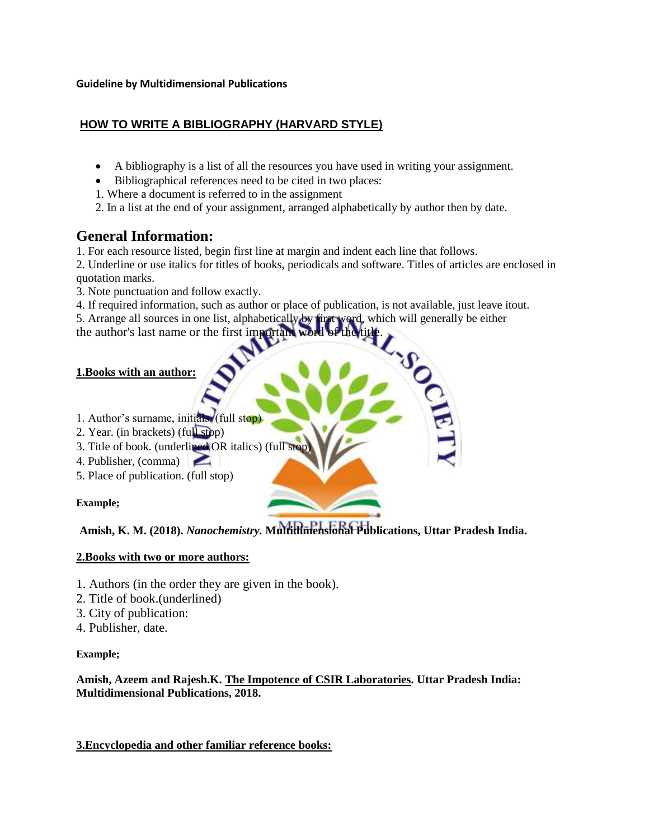#### **Guideline by Multidimensional Publications**

# **HOW TO WRITE A BIBLIOGRAPHY (HARVARD STYLE)**

- A bibliography is a list of all the resources you have used in writing your assignment.
- Bibliographical references need to be cited in two places:
- 1. Where a document is referred to in the assignment
- 2. In a list at the end of your assignment, arranged alphabetically by author then by date.

# **General Information:**

1. For each resource listed, begin first line at margin and indent each line that follows.

2. Underline or use italics for titles of books, periodicals and software. Titles of articles are enclosed in quotation marks.

3. Note punctuation and follow exactly.

4. If required information, such as author or place of publication, is not available, just leave itout.

5. Arrange all sources in one list, alphabetically by first word, which will generally be either

the author's last name or the first important

#### **1.Books with an author:**

- 1. Author's surname, initials. (full stop)
- 2. Year. (in brackets) (full stop)
- 3. Title of book. (underlined OR italics) (full stop)
- 4. Publisher, (comma)
- 5. Place of publication. (full stop)

#### **Example;**

**Amish, K. M. (2018).** *Nanochemistry.* **Multidimensional Publications, Uttar Pradesh India.**

#### **2.Books with two or more authors:**

- 1. Authors (in the order they are given in the book).
- 2. Title of book.(underlined)
- 3. City of publication:
- 4. Publisher, date.

#### **Example;**

**Amish, Azeem and Rajesh.K. The Impotence of CSIR Laboratories. Uttar Pradesh India: Multidimensional Publications, 2018.**

**3.Encyclopedia and other familiar reference books:**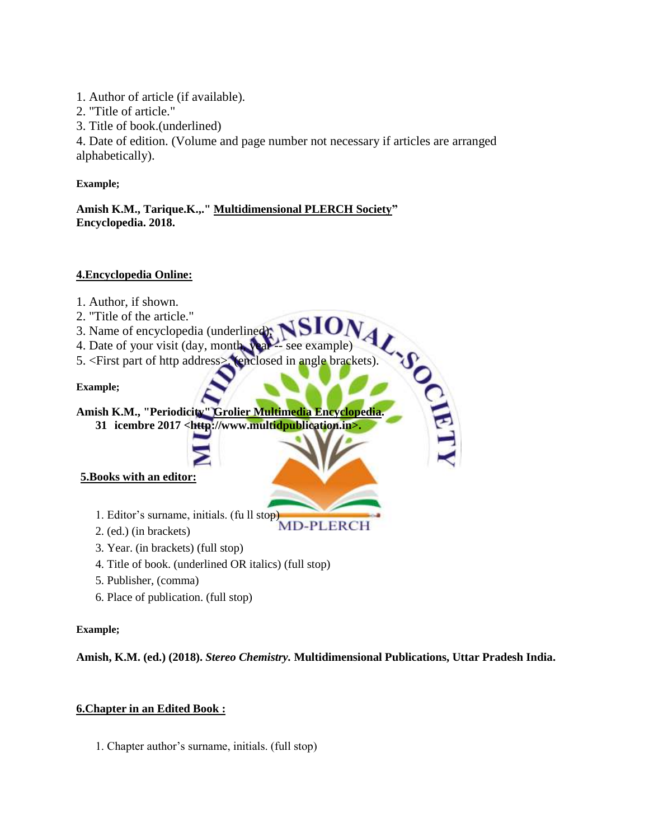1. Author of article (if available).

2. "Title of article."

3. Title of book.(underlined)

4. Date of edition. (Volume and page number not necessary if articles are arranged alphabetically).

**Example;**

**Amish K.M., Tarique.K.,." Multidimensional PLERCH Society" Encyclopedia. 2018.**

# **4.Encyclopedia Online:**

- 1. Author, if shown.
- 2. "Title of the article."
- 3. Name of encyclopedia (underlined).
- 4. Date of your visit (day, month, year -- see example)
- 4. Date of your visit (day, month was see example)<br>5. <First part of http address> (enclosed in angle brackets).<br>Example:<br>Amish K.M., "Periodicity" Grolier Multimedia Encyclopedia.<br>31 icembre 2017 <http://www.multidpublica

**Example;**

**Amish K.M., "Periodicity" Grolier Multimedia Encyclopedia.**

**31 icembre 2017 <http://www.multidpublication.in>.**

# **5.Books with an editor:**

- 1. Editor's surname, initials. (fu ll stop)<br>
2. (ed.) (in breakste)<br>
2. (ed.) (in breakste)
- 2. (ed.) (in brackets)
- 3. Year. (in brackets) (full stop)
- 4. Title of book. (underlined OR italics) (full stop)
- 5. Publisher, (comma)
- 6. Place of publication. (full stop)

#### **Example;**

**Amish, K.M. (ed.) (2018).** *Stereo Chemistry.* **Multidimensional Publications, Uttar Pradesh India.**

# **6.Chapter in an Edited Book :**

1. Chapter author's surname, initials. (full stop)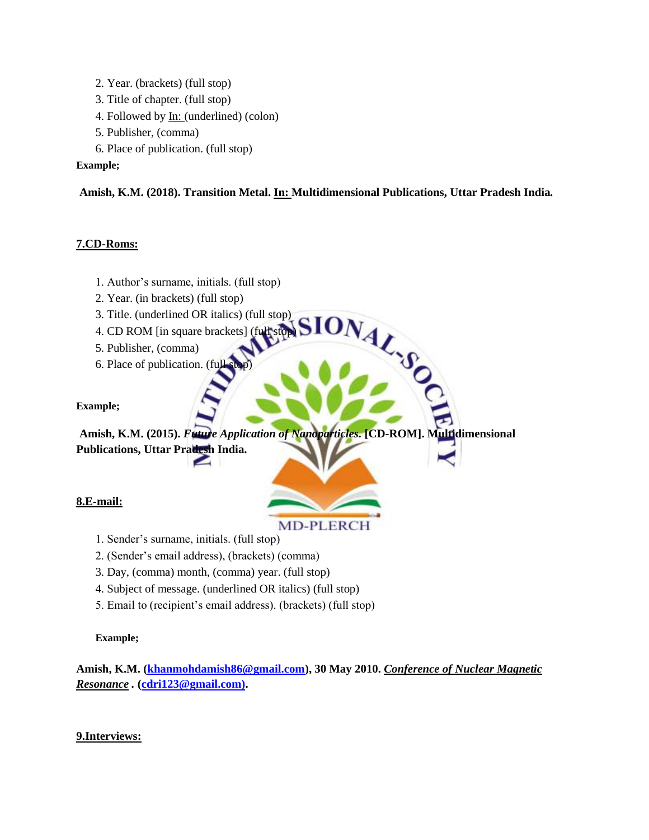2. Year. (brackets) (full stop) 3. Title of chapter. (full stop) 4. Followed by <u>In:</u> (underlined) (colon) 5. Publisher, (comma) 6. Place of publication. (full stop)

#### **Example;**

#### **Amish, K.M. (2018). Transition Metal. In: Multidimensional Publications, Uttar Pradesh India***.*

#### **7.CD-Roms:**

- 1. Author's surname, initials. (full stop)
- 2. Year. (in brackets) (full stop)
- 3. Title. (underlined OR italics) (full stop)
- 4. CD ROM [in square brackets] (full stop)
- 5. Publisher, (comma)
- 6. Place of publication. (full stop)

#### **Example;**

NAL-SO **Amish, K.M. (2015).** *Future Application of Nanoparticles.* **[CD-ROM]. Multidimensional Publications, Uttar Pradesh India.**

#### **8.E-mail:**

# **MD-PLERCH**

- 1. Sender's surname, initials. (full stop)
- 2. (Sender's email address), (brackets) (comma)
- 3. Day, (comma) month, (comma) year. (full stop)
- 4. Subject of message. (underlined OR italics) (full stop)
- 5. Email to (recipient's email address). (brackets) (full stop)

#### **Example;**

**Amish, K.M. (khanmohdamish86@gmail.com), 30 May 2010.** *Conference of Nuclear Magnetic Resonance .* **[\(cdri123@gmail.com\).](mailto:cdri123@gmail.com))**

#### **9.Interviews:**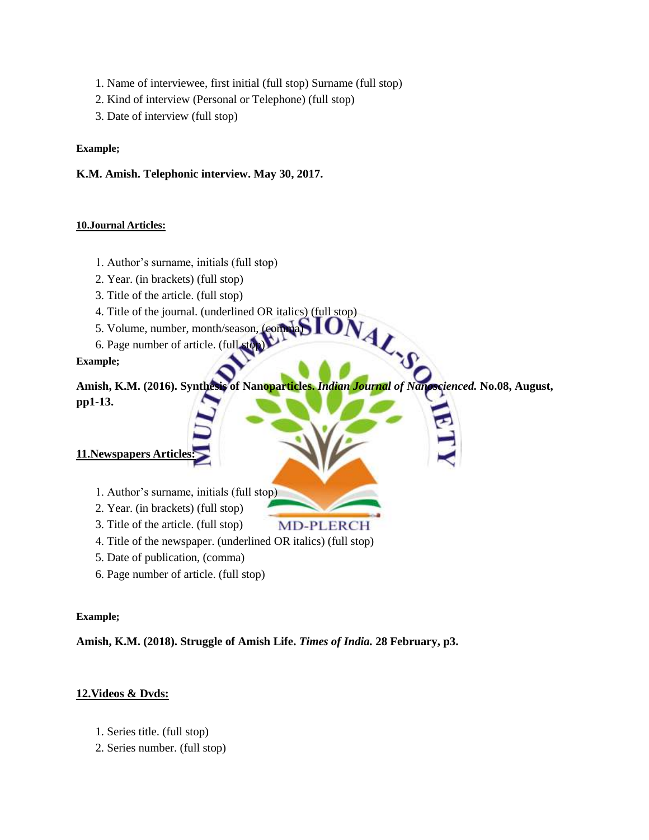- 1. Name of interviewee, first initial (full stop) Surname (full stop)
- 2. Kind of interview (Personal or Telephone) (full stop)
- 3. Date of interview (full stop)

#### **Example;**

#### **K.M. Amish. Telephonic interview. May 30, 2017.**

#### **10.Journal Articles:**

- 1. Author's surname, initials (full stop)
- 2. Year. (in brackets) (full stop)
- 3. Title of the article. (full stop)
- 4. Title of the journal. (underlined OR italics) (full stop)
- 5. Volume, number, month/season, (comma)
- 6. Page number of article. (full stop)

#### **Example;**

**Amish, K.M. (2016). Synthesis of Nanoparticles.** *Indian Journal of Nanoscienced.* **No.08, August, pp1-13.**

**MD-PLERCH** 

#### **11.Newspapers Articles:**

- 1. Author's surname, initials (full stop)
- 2. Year. (in brackets) (full stop)
- 3. Title of the article. (full stop)
- 4. Title of the newspaper. (underlined OR italics) (full stop)
- 5. Date of publication, (comma)
- 6. Page number of article. (full stop)

#### **Example;**

**Amish, K.M. (2018). Struggle of Amish Life.** *Times of India.* **28 February, p3.**

#### **12.Videos & Dvds:**

- 1. Series title. (full stop)
- 2. Series number. (full stop)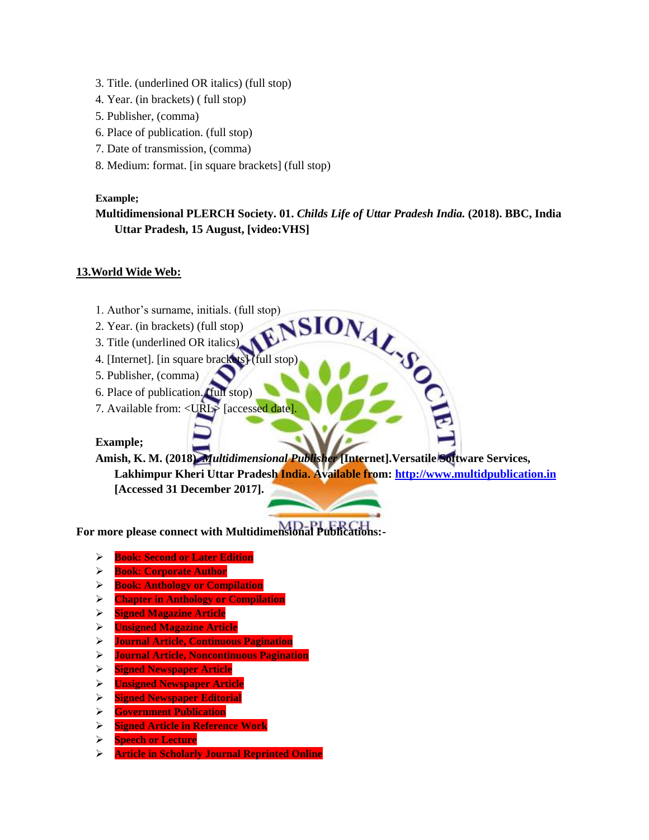- 3. Title. (underlined OR italics) (full stop)
- 4. Year. (in brackets) ( full stop)
- 5. Publisher, (comma)
- 6. Place of publication. (full stop)
- 7. Date of transmission, (comma)
- 8. Medium: format. [in square brackets] (full stop)

#### **Example;**

#### **Multidimensional PLERCH Society. 01.** *Childs Life of Uttar Pradesh India.* **(2018). BBC, India Uttar Pradesh, 15 August, [video:VHS]**

#### **13.World Wide Web:**

- 1. Author's surname, initials. (full stop)
- 2. Year. (in brackets) (full stop)
- 3. Title (underlined OR italics)
- 4. [Internet]. [in square brackets] (full stop)
- 5. Publisher, (comma)
- 6. Place of publication. (full stop)
- 7. Available from: <URL> [accessed date]

#### **Example;**

ONAL.SO **Amish, K. M. (2018).** *Multidimensional Publisher* **[Internet].Versatile Software Services, Lakhimpur Kheri Uttar Pradesh India. Available from[: http://www.multidpublication.in](http://www.multidpublication.in/) [Accessed 31 December 2017].**

**For more please connect with Multidimensional Publications:-**

- **Book: Second or Later Edition**
- **Book: Corporate Author**
- **Book: Anthology or Compilation**
- **Chapter in Anthology or Compilation**
- **Signed Magazine Article**
- **Unsigned Magazine Article**
- **Journal Article, Continuous Pagination**
- **Journal Article, Noncontinuous Pagination**
- **Signed Newspaper Article**
- **Unsigned Newspaper Article**
- **Signed Newspaper Editorial**
- **Government Publication**
- **Signed Article in Reference Work**
- **Speech or Lecture**
- **Article in Scholarly Journal Reprinted Online**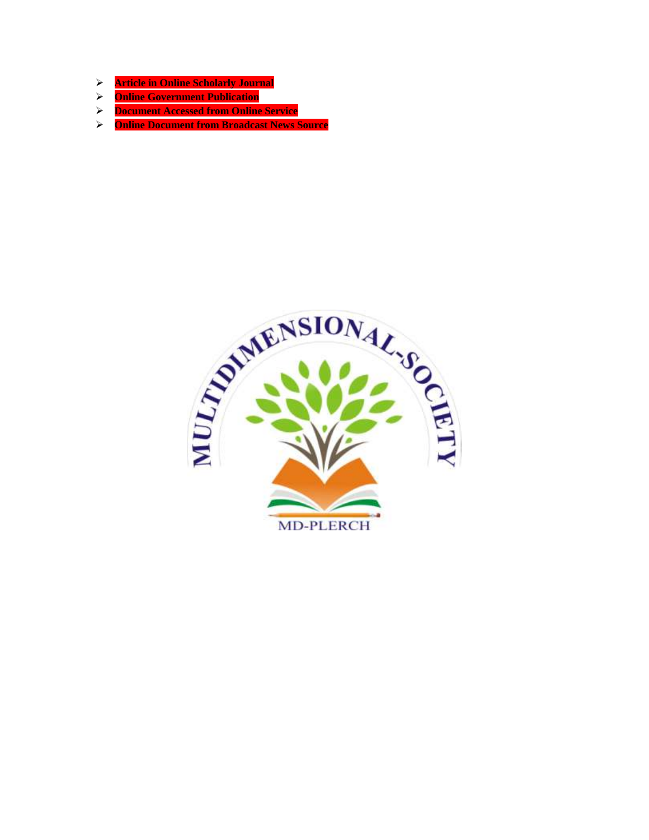- **Article in Online Scholarly Journal**
- **Online Government Publication**
- **Document Accessed from Online Service**
- **Online Document from Broadcast News Source**

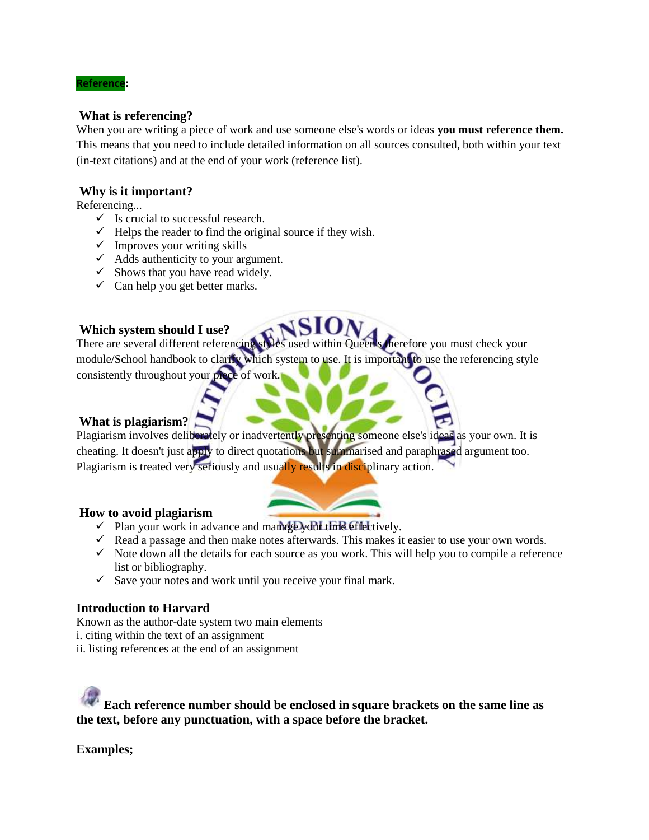#### **Reference:**

#### **What is referencing?**

When you are writing a piece of work and use someone else's words or ideas **you must reference them.** This means that you need to include detailed information on all sources consulted, both within your text (in-text citations) and at the end of your work (reference list).

#### **Why is it important?**

Referencing...

- $\checkmark$  Is crucial to successful research.
- $\checkmark$  Helps the reader to find the original source if they wish.
- $\checkmark$  Improves your writing skills
- $\overrightarrow{A}$  Adds authenticity to your argument.
- $\checkmark$  Shows that you have read widely.
- $\checkmark$  Can help you get better marks.

#### **Which system should I use?**

There are several different referencing styles used within Queen's therefore you must check your module/School handbook to clarify which system to use. It is important to use the referencing style consistently throughout your piece of work.

# **What is plagiarism?**

Plagiarism involves deliberately or inadvertently presenting someone else's ideas as your own. It is cheating. It doesn't just apply to direct quotations but summarised and paraphrased argument too. Plagiarism is treated very seriously and usually results in disciplinary action.

#### **How to avoid plagiarism**

- $\checkmark$  Plan your work in advance and manage your time effectively.
- $\checkmark$  Read a passage and then make notes afterwards. This makes it easier to use your own words.
- $\checkmark$  Note down all the details for each source as you work. This will help you to compile a reference list or bibliography.
- $\checkmark$  Save your notes and work until you receive your final mark.

#### **Introduction to Harvard**

Known as the author-date system two main elements i. citing within the text of an assignment

ii. listing references at the end of an assignment

**Each reference number should be enclosed in square brackets on the same line as the text, before any punctuation, with a space before the bracket.**

**Examples;**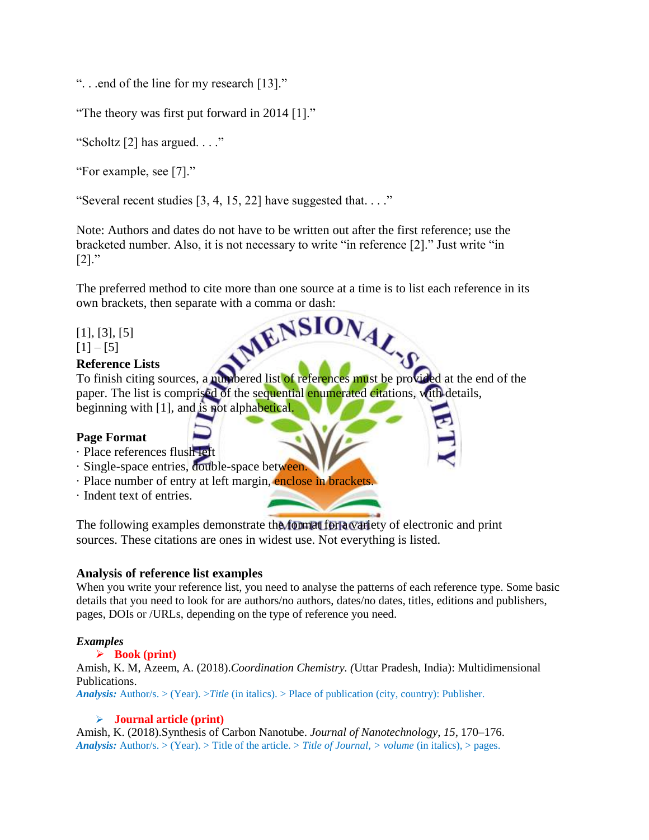". . .end of the line for my research [13]."

"The theory was first put forward in 2014 [1]."

"Scholtz [2] has argued. . . ."

"For example, see [7]."

"Several recent studies  $[3, 4, 15, 22]$  have suggested that..."

Note: Authors and dates do not have to be written out after the first reference; use the bracketed number. Also, it is not necessary to write "in reference [2]." Just write "in  $[2]$ ."

The preferred method to cite more than one source at a time is to list each reference in its own brackets, then separate with a comma or dash:<br>[1], [3], [5]<br>[1] – [5]

[1], [3], [5]  $[1] - [5]$ 

#### **Reference Lists**

To finish citing sources, a numbered list of references must be provided at the end of the paper. The list is comprised of the sequential enumerated citations, with details, beginning with [1], and is not alphabetical.

#### **Page Format**

- · Place references flush left
- · Single-space entries, double-space between.
- · Place number of entry at left margin, enclose in brackets.
- · Indent text of entries.

The following examples demonstrate the format for a variety of electronic and print sources. These citations are ones in widest use. Not everything is listed.

#### **Analysis of reference list examples**

When you write your reference list, you need to analyse the patterns of each reference type. Some basic details that you need to look for are authors/no authors, dates/no dates, titles, editions and publishers, pages, DOIs or /URLs, depending on the type of reference you need.

#### *Examples*

#### **Book (print)**

Amish, K. M, Azeem, A. (2018).*Coordination Chemistry. (*Uttar Pradesh, India): Multidimensional Publications.

*Analysis:* Author/s. > (Year). >*Title* (in italics). > Place of publication (city, country): Publisher.

#### **Journal article (print)**

Amish, K. (2018).Synthesis of Carbon Nanotube. *Journal of Nanotechnology*, *15*, 170–176. *Analysis:* Author/s. > (Year). > Title of the article. > *Title of Journal, > volume* (in italics), > pages.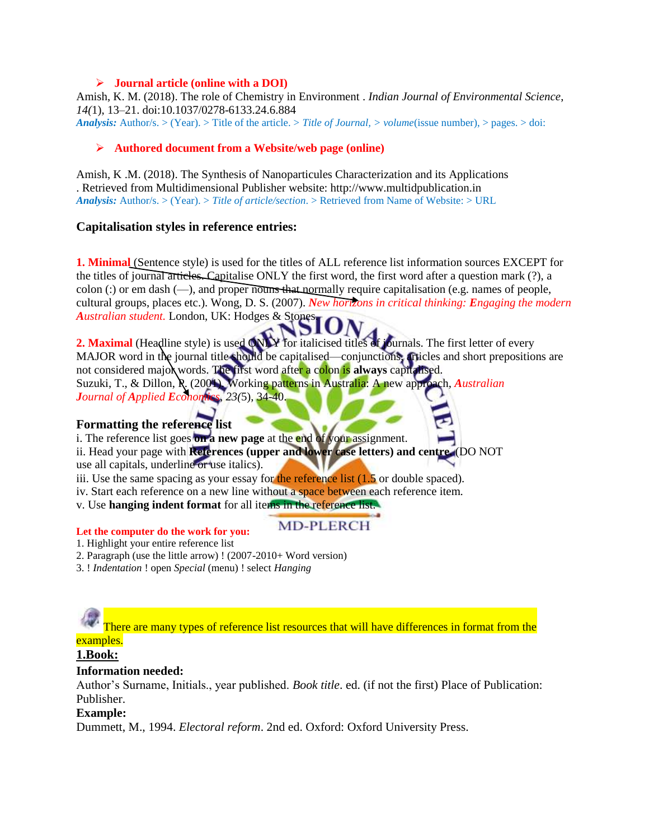#### **Journal article (online with a DOI)**

Amish, K. M. (2018). The role of Chemistry in Environment . *Indian Journal of Environmental Science*, *14(*1), 13–21. doi:10.1037/0278-6133.24.6.884 *Analysis:* Author/s. > (Year). > Title of the article. > *Title of Journal, > volume*(issue number), > pages. > doi:

#### **Authored document from a Website/web page (online)**

Amish, K .M. (2018). The Synthesis of Nanoparticules Characterization and its Applications . Retrieved from Multidimensional Publisher website: http://www.multidpublication.in *Analysis:* Author/s. > (Year). > *Title of article/section*. > Retrieved from Name of Website: > URL

#### **Capitalisation styles in reference entries:**

**1. Minimal** (Sentence style) is used for the titles of ALL reference list information sources EXCEPT for the titles of journal articles. Capitalise ONLY the first word, the first word after a question mark (?), a colon (:) or em dash  $(-)$ , and proper nouns that normally require capitalisation (e.g. names of people, cultural groups, places etc.). Wong, D. S. (2007). *New horizons in critical thinking: Engaging the modern Australian student.* London, UK: Hodges & Stones.

**2. Maximal** (Headline style) is used ONLY for italicised titles of journals. The first letter of every MAJOR word in the journal title should be capitalised—conjunctions, articles and short prepositions are not considered major words. The first word after a colon is **always** capitalised. Suzuki, T., & Dillon, P. (2001). Working patterns in Australia: A new approach, *Australian Journal of Applied Economics*, *23(*5), 34-40.

**MD-PLERCH** 

#### **Formatting the reference list**

i. The reference list goes **on a new page** at the end of your assignment.

ii. Head your page with **References (upper and lower case letters) and centre.** (DO NOT use all capitals, underline or use italics).

iii. Use the same spacing as your essay for the reference list  $(1.5 \text{ or double spaced})$ .

iv. Start each reference on a new line without a space between each reference item.

v. Use **hanging indent format** for all items in the reference list.

#### **Let the computer do the work for you:**

1. Highlight your entire reference list

- 2. Paragraph (use the little arrow) ! (2007-2010+ Word version)
- 3. ! *Indentation* ! open *Special* (menu) ! select *Hanging*

There are many types of reference list resources that will have differences in format from the examples.

# **1.Book:**

#### **Information needed:**

Author's Surname, Initials., year published. *Book title*. ed. (if not the first) Place of Publication: Publisher.

#### **Example:**

Dummett, M., 1994. *Electoral reform*. 2nd ed. Oxford: Oxford University Press.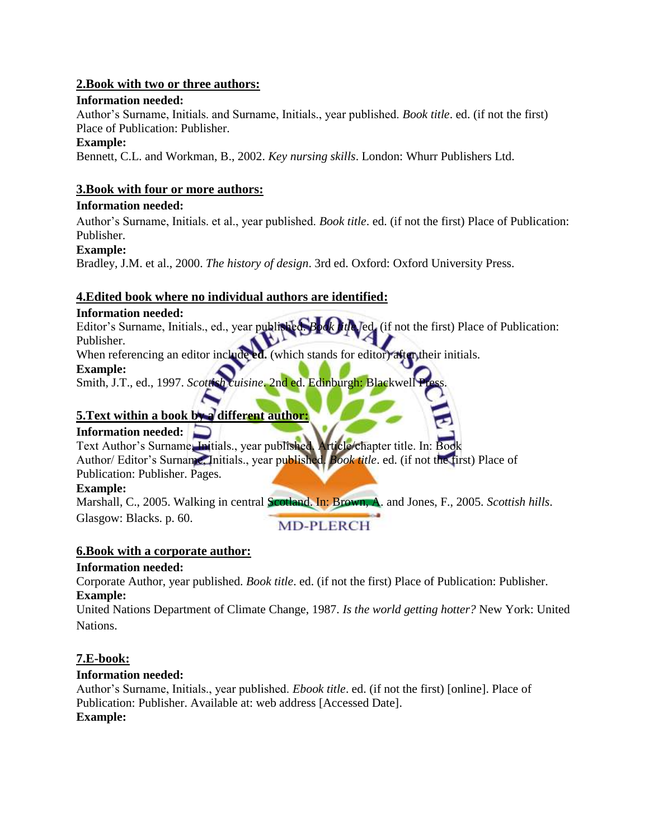#### **2.Book with two or three authors:**

#### **Information needed:**

Author's Surname, Initials. and Surname, Initials., year published. *Book title*. ed. (if not the first) Place of Publication: Publisher.

#### **Example:**

Bennett, C.L. and Workman, B., 2002. *Key nursing skills*. London: Whurr Publishers Ltd.

#### **3.Book with four or more authors:**

#### **Information needed:**

Author's Surname, Initials. et al., year published. *Book title*. ed. (if not the first) Place of Publication: Publisher.

#### **Example:**

Bradley, J.M. et al., 2000. *The history of design*. 3rd ed. Oxford: Oxford University Press.

#### **4.Edited book where no individual authors are identified:**

#### **Information needed:**

Editor's Surname, Initials., ed., year published. *Book title*. ed. (if not the first) Place of Publication: Publisher.

When referencing an editor include ed. (which stands for editor) after their initials.

#### **Example:**

Smith, J.T., ed., 1997. *Scottish cuisine*. 2nd ed. Edinburgh: Blackwell

# **5.Text within a book by a different author:**

#### **Information needed:**

Text Author's Surname, Initials., year published. Article/chapter title. In: Book Author/ Editor's Surname, Initials., year published. *Book title*. ed. (if not the first) Place of Publication: Publisher. Pages.

#### **Example:**

Marshall, C., 2005. Walking in central Scotland. In: Brown, A. and Jones, F., 2005. *Scottish hills*. Glasgow: Blacks. p. 60. **MD-PLERCH** 

#### **6.Book with a corporate author:**

#### **Information needed:**

Corporate Author, year published. *Book title*. ed. (if not the first) Place of Publication: Publisher. **Example:** 

United Nations Department of Climate Change, 1987. *Is the world getting hotter?* New York: United Nations.

# **7.E-book:**

#### **Information needed:**

Author's Surname, Initials., year published. *Ebook title*. ed. (if not the first) [online]. Place of Publication: Publisher. Available at: web address [Accessed Date]. **Example:**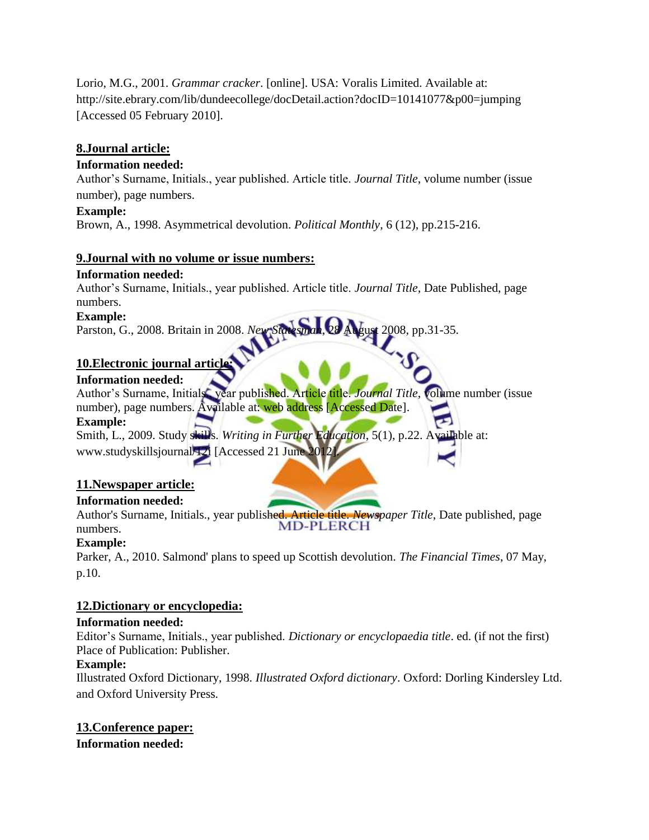Lorio, M.G., 2001. *Grammar cracker*. [online]. USA: Voralis Limited. Available at: http://site.ebrary.com/lib/dundeecollege/docDetail.action?docID=10141077&p00=jumping [Accessed 05 February 2010].

# **8.Journal article:**

#### **Information needed:**

Author's Surname, Initials., year published. Article title. *Journal Title*, volume number (issue number), page numbers.

#### **Example:**

Brown, A., 1998. Asymmetrical devolution. *Political Monthly*, 6 (12), pp.215-216.

#### **9.Journal with no volume or issue numbers:**

#### **Information needed:**

Author's Surname, Initials., year published. Article title. *Journal Title,* Date Published, page numbers.

#### **Example:**

Parston, G., 2008. Britain in 2008. *New Statesman*, 28 August 2008, pp.31-35.

# **10.Electronic journal article:**

#### **Information needed:**

Author's Surname, Initials., year published. Article title. *Journal Title*, volume number (issue number), page numbers. Available at: web address [Accessed Date].

#### **Example:**

Smith, L., 2009. Study skills. *Writing in Further Education*, 5(1), p.22. Available at: www.studyskillsjournal/12i [Accessed 21 June 201

# **11.Newspaper article:**

# **Information needed:**

Author's Surname, Initials., year published. Article title. *Newspaper Title*, Date published, page numbers.

# **Example:**

Parker, A., 2010. Salmond' plans to speed up Scottish devolution. *The Financial Times*, 07 May, p.10.

# **12.Dictionary or encyclopedia:**

#### **Information needed:**

Editor's Surname, Initials., year published. *Dictionary or encyclopaedia title*. ed. (if not the first) Place of Publication: Publisher.

# **Example:**

Illustrated Oxford Dictionary, 1998. *Illustrated Oxford dictionary*. Oxford: Dorling Kindersley Ltd. and Oxford University Press.

# **13.Conference paper:**

**Information needed:**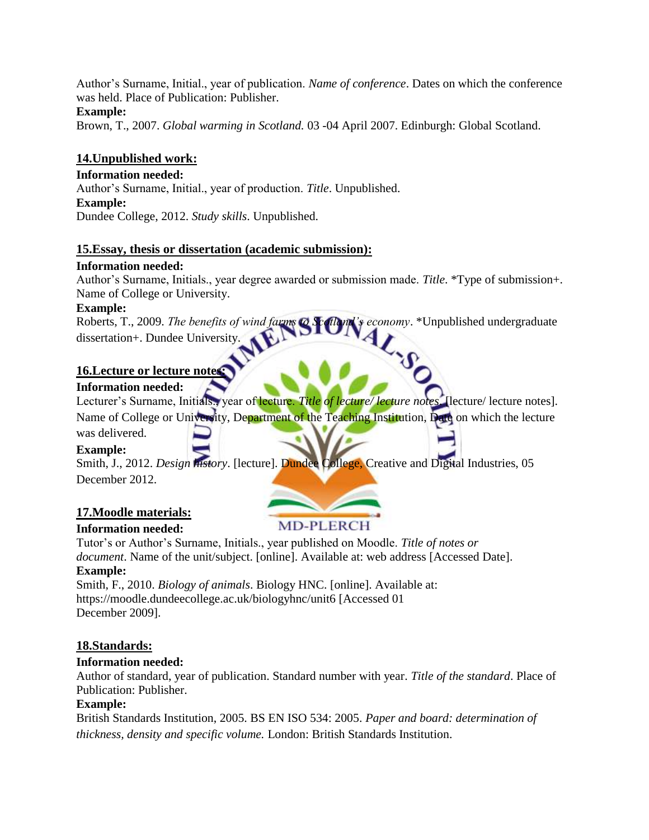Author's Surname, Initial., year of publication. *Name of conference*. Dates on which the conference was held. Place of Publication: Publisher.

#### **Example:**

Brown, T., 2007. *Global warming in Scotland.* 03 -04 April 2007. Edinburgh: Global Scotland.

#### **14.Unpublished work:**

**Information needed:**  Author's Surname, Initial., year of production. *Title*. Unpublished. **Example:**  Dundee College, 2012. *Study skills*. Unpublished.

#### **15.Essay, thesis or dissertation (academic submission):**

#### **Information needed:**

Author's Surname, Initials., year degree awarded or submission made. *Title*. \*Type of submission+. Name of College or University.

#### **Example:**

Roberts, T., 2009. *The benefits of wind farms to Scotland's economy*. \*Unpublished undergraduate dissertation+. Dundee University.

#### **16.Lecture or lecture notes:**

#### **Information needed:**

Lecturer's Surname, Initials., year of lecture. *Title of lecture/ lecture notes*. [lecture/ lecture notes].

Name of College or University, Department of the Teaching Institution, Date on which the lecture

#### was delivered. **Example:**

Smith, J., 2012. *Design history*. [lecture]. Dundee College, Creative and Digital Industries, 05 December 2012.

# **17.Moodle materials:**

# **Information needed:**

**MD-PLERCH** 

Tutor's or Author's Surname, Initials., year published on Moodle. *Title of notes or document*. Name of the unit/subject. [online]. Available at: web address [Accessed Date].

# **Example:**

Smith, F., 2010. *Biology of animals*. Biology HNC. [online]. Available at: https://moodle.dundeecollege.ac.uk/biologyhnc/unit6 [Accessed 01 December 2009].

# **18.Standards:**

# **Information needed:**

Author of standard, year of publication. Standard number with year. *Title of the standard*. Place of Publication: Publisher.

#### **Example:**

British Standards Institution, 2005. BS EN ISO 534: 2005. *Paper and board: determination of thickness, density and specific volume.* London: British Standards Institution.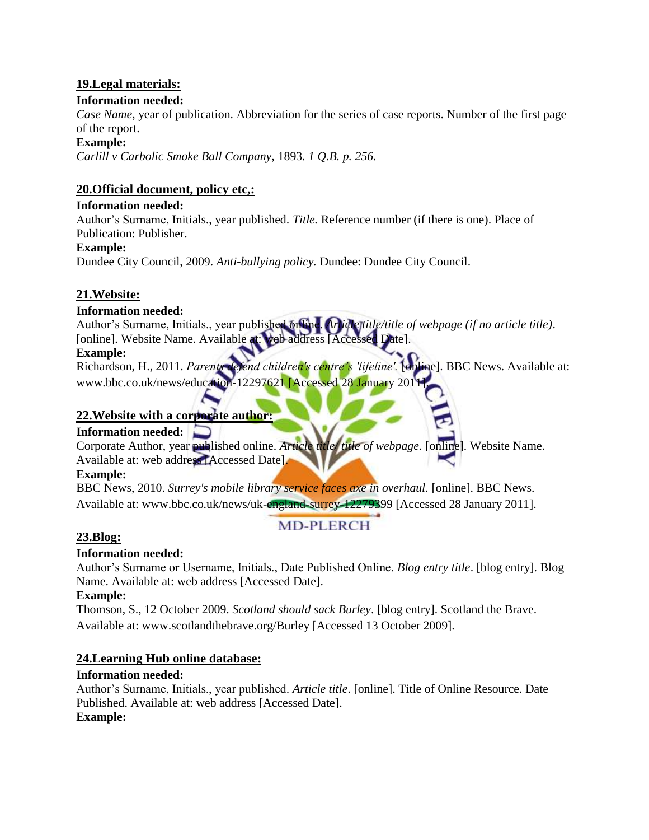# **19.Legal materials:**

#### **Information needed:**

*Case Name*, year of publication. Abbreviation for the series of case reports. Number of the first page of the report.

#### **Example:**

*Carlill v Carbolic Smoke Ball Company,* 1893*. 1 Q.B. p. 256.*

# **20.Official document, policy etc,:**

#### **Information needed:**

Author's Surname, Initials., year published. *Title.* Reference number (if there is one). Place of Publication: Publisher.

#### **Example:**

Dundee City Council, 2009. *Anti-bullying policy.* Dundee: Dundee City Council.

# **21.Website:**

# **Information needed:**

Author's Surname, Initials., year published online. Article title/title of webpage (if no article title). [online]. Website Name. Available at: web address [Accessed Date].

#### **Example:**

Richardson, H., 2011. *Parents defend children's centre's 'lifeline'.* [online]. BBC News. Available at: www.bbc.co.uk/news/education-12297621 [Accessed 28 January 2011]

# **22.Website with a corporate author:**

# **Information needed:**

Corporate Author, year published online. *Article title/ title of webpage.* [online]. Website Name. Available at: web address [Accessed Date].

#### **Example:**

BBC News, 2010. *Surrey's mobile library service faces axe in overhaul.* [online]. BBC News. Available at: www.bbc.co.uk/news/uk-england-surrey-12279399 [Accessed 28 January 2011].

# **23.Blog:**

# **MD-PLERCH**

# **Information needed:**

Author's Surname or Username, Initials., Date Published Online. *Blog entry title*. [blog entry]. Blog Name. Available at: web address [Accessed Date].

#### **Example:**

Thomson, S., 12 October 2009. *Scotland should sack Burley*. [blog entry]. Scotland the Brave. Available at: www.scotlandthebrave.org/Burley [Accessed 13 October 2009].

# **24.Learning Hub online database:**

# **Information needed:**

Author's Surname, Initials., year published. *Article title*. [online]. Title of Online Resource. Date Published. Available at: web address [Accessed Date]. **Example:**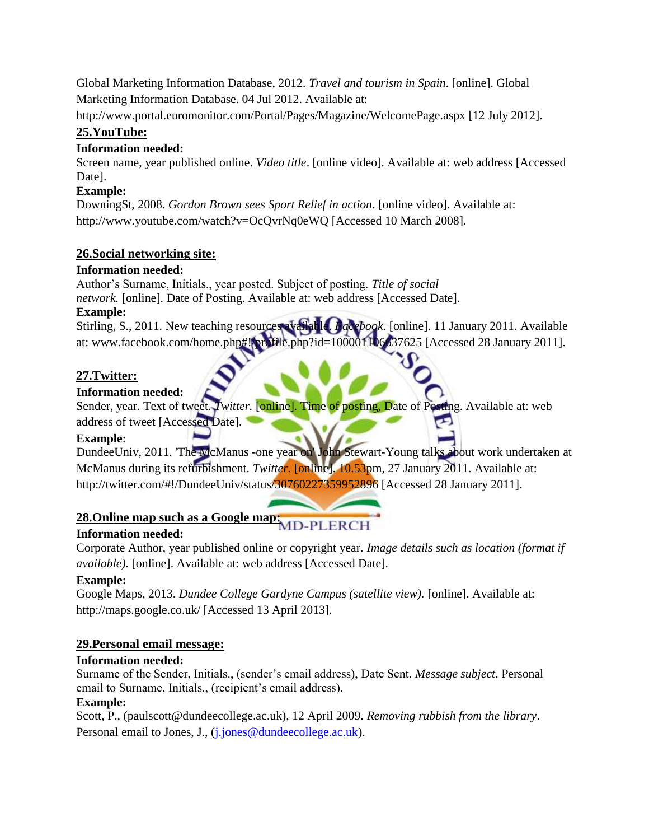Global Marketing Information Database, 2012. *Travel and tourism in Spain*. [online]. Global Marketing Information Database. 04 Jul 2012. Available at:

http://www.portal.euromonitor.com/Portal/Pages/Magazine/WelcomePage.aspx [12 July 2012].

# **25.YouTube:**

#### **Information needed:**

Screen name, year published online. *Video title*. [online video]. Available at: web address [Accessed Date].

# **Example:**

DowningSt, 2008. *Gordon Brown sees Sport Relief in action*. [online video]. Available at: http://www.youtube.com/watch?v=OcQvrNq0eWQ [Accessed 10 March 2008].

# **26.Social networking site:**

# **Information needed:**

Author's Surname, Initials., year posted. Subject of posting. *Title of social network.* [online]. Date of Posting. Available at: web address [Accessed Date]. **Example:** 

Stirling, S., 2011. New teaching resources available. *Facebook.* [online]. 11 January 2011. Available at: www.facebook.com/home.php#!/profile.php?id=100001106637625 [Accessed 28 January 2011].

# **27.Twitter:**

# **Information needed:**

Sender, year. Text of tweet. *Twitter.* [online]*.* Time of posting, Date of Posting. Available at: web address of tweet [Accessed Date].

# **Example:**

DundeeUniv, 2011. 'The McManus -one year on' John Stewart-Young talks about work undertaken at McManus during its refurbishment. *Twitter*. [online]. 10.53pm, 27 January 2011. Available at: http://twitter.com/#!/DundeeUniv/status/30760227359952896 [Accessed 28 January 2011].

# **28.Online map such as a Google map:**

# **Information needed:**

Corporate Author, year published online or copyright year. *Image details such as location (format if available).* [online]. Available at: web address [Accessed Date].

# **Example:**

Google Maps, 2013. *Dundee College Gardyne Campus (satellite view).* [online]. Available at: http://maps.google.co.uk/ [Accessed 13 April 2013].

# **29.Personal email message:**

# **Information needed:**

Surname of the Sender, Initials., (sender's email address), Date Sent. *Message subject*. Personal email to Surname, Initials., (recipient's email address).

# **Example:**

Scott, P., (paulscott@dundeecollege.ac.uk), 12 April 2009. *Removing rubbish from the library*. Personal email to Jones, J., (*j.jones@dundeecollege.ac.uk*).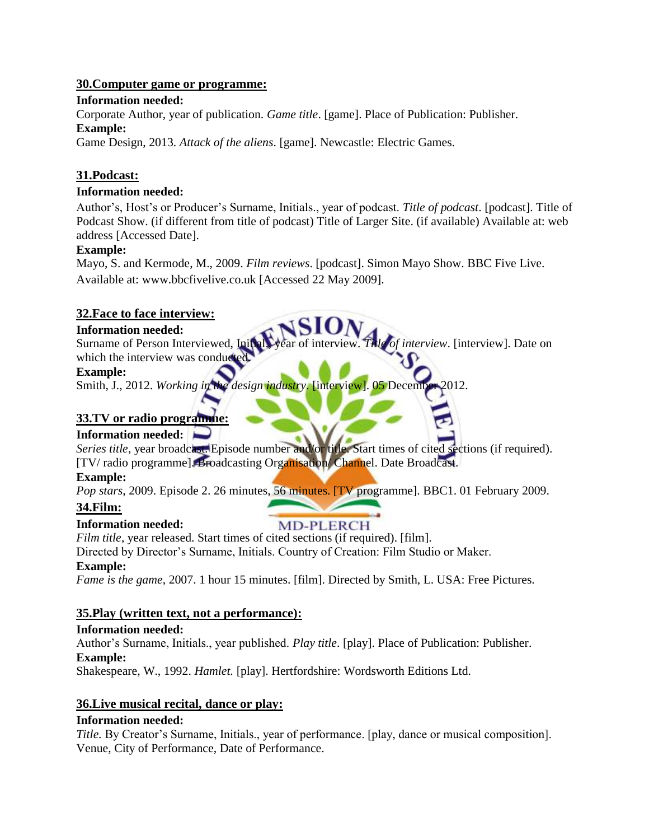#### **30.Computer game or programme:**

#### **Information needed:**

Corporate Author, year of publication. *Game title*. [game]. Place of Publication: Publisher. **Example:** 

Game Design, 2013. *Attack of the aliens*. [game]. Newcastle: Electric Games.

# **31.Podcast:**

# **Information needed:**

Author's, Host's or Producer's Surname, Initials., year of podcast. *Title of podcast*. [podcast]. Title of Podcast Show. (if different from title of podcast) Title of Larger Site. (if available) Available at: web address [Accessed Date].

#### **Example:**

Mayo, S. and Kermode, M., 2009. *Film reviews*. [podcast]. Simon Mayo Show. BBC Five Live. Available at: www.bbcfivelive.co.uk [Accessed 22 May 2009].

# **32.Face to face interview:**

#### **Information needed:**

Surname of Person Interviewed, Initial., year of interview. *Title of interview*. [interview]. Date on which the interview was conduct

#### **Example:**

Smith, J., 2012. *Working in the design industry*. [interview]. 05 December 2012.

# **33.TV or radio programme:**

# **Information needed:**

*Series title*, year broadcast. Episode number and/or title. Start times of cited sections (if required). [TV/ radio programme]. Broadcasting Organisation/ Channel. Date Broadcast.

# **Example:**

*Pop stars*, 2009. Episode 2. 26 minutes, 56 minutes. [TV programme]. BBC1. 01 February 2009.

# **34.Film:**

# **Information needed:**

**MD-PLERCH** *Film title*, year released. Start times of cited sections (if required). [film].

Directed by Director's Surname, Initials. Country of Creation: Film Studio or Maker.

# **Example:**

*Fame is the game*, 2007. 1 hour 15 minutes. [film]. Directed by Smith, L. USA: Free Pictures.

# **35.Play (written text, not a performance):**

# **Information needed:**

Author's Surname, Initials., year published. *Play title*. [play]. Place of Publication: Publisher. **Example:** 

Shakespeare, W., 1992. *Hamlet*. [play]. Hertfordshire: Wordsworth Editions Ltd.

# **36.Live musical recital, dance or play:**

# **Information needed:**

*Title.* By Creator's Surname, Initials., year of performance. [play, dance or musical composition]. Venue, City of Performance, Date of Performance.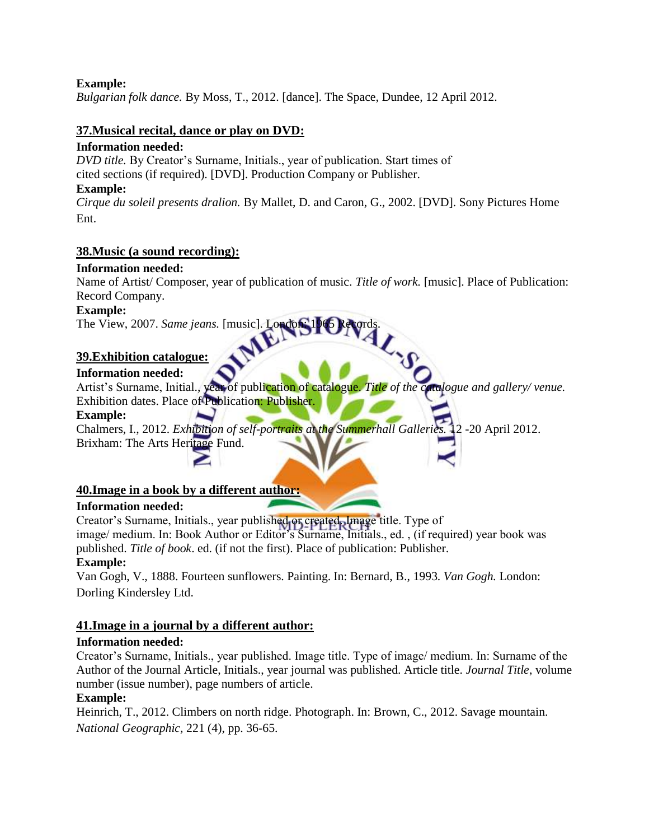#### **Example:**

*Bulgarian folk dance.* By Moss, T., 2012. [dance]. The Space, Dundee, 12 April 2012.

#### **37.Musical recital, dance or play on DVD:**

#### **Information needed:**

*DVD title.* By Creator's Surname, Initials., year of publication. Start times of cited sections (if required). [DVD]. Production Company or Publisher. **Example:** 

*Cirque du soleil presents dralion.* By Mallet, D. and Caron, G., 2002. [DVD]. Sony Pictures Home Ent.

#### **38.Music (a sound recording):**

#### **Information needed:**

Name of Artist/ Composer, year of publication of music. *Title of work.* [music]. Place of Publication: Record Company.

#### **Example:**

The View, 2007. *Same jeans.* [music]. London:

#### **39.Exhibition catalogue:**

# **Information needed:**

Artist's Surname, Initial., year of publication of catalogue. *Title of the catalogue and gallery/ venue.*  Exhibition dates. Place of Publication: Publisher.

#### **Example:**

Chalmers, I., 2012. *Exhibition of self-portraits at the Summerhall Galleries.* 12 -20 April 2012. Brixham: The Arts Heritage Fund.

#### **40.Image in a book by a different author:**

#### **Information needed:**

Creator's Surname, Initials., year published or created. Image title. Type of image/ medium. In: Book Author or Editor's Surname, Initials., ed. , (if required) year book was published. *Title of book*. ed. (if not the first). Place of publication: Publisher. **Example:** 

Van Gogh, V., 1888. Fourteen sunflowers. Painting. In: Bernard, B., 1993. *Van Gogh.* London: Dorling Kindersley Ltd.

# **41.Image in a journal by a different author:**

#### **Information needed:**

Creator's Surname, Initials., year published. Image title. Type of image/ medium. In: Surname of the Author of the Journal Article, Initials., year journal was published. Article title. *Journal Title*, volume number (issue number), page numbers of article.

# **Example:**

Heinrich, T., 2012. Climbers on north ridge. Photograph. In: Brown, C., 2012. Savage mountain. *National Geographic,* 221 (4), pp. 36-65.